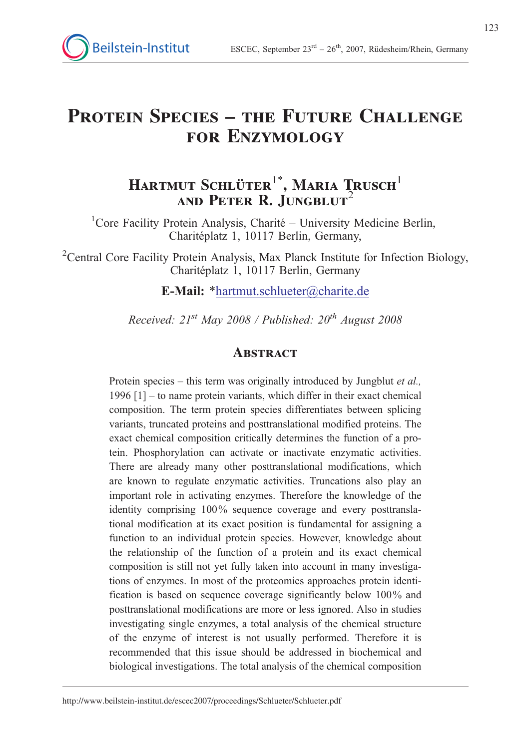# PROTEIN SPECIES – THE FUTURE CHALLENGE for Enzymology

# Hartmut Schlüter $^{1^\ast}$ , Maria Trusch $^1$ and Peter R. Jungblut $^2$

<sup>1</sup>Core Facility Protein Analysis, Charité - University Medicine Berlin, Charitéplatz 1, 10117 Berlin, Germany,

<sup>2</sup>Central Core Facility Protein Analysis, Max Planck Institute for Infection Biology, Charitéplatz 1, 10117 Berlin, Germany

E-Mail: \*hartmut.schlueter@charite.de

Received:  $21^{st}$  May 2008 / Published:  $20^{th}$  August 2008

#### **ABSTRACT**

Protein species – this term was originally introduced by Jungblut et al., 1996 [1] – to name protein variants, which differ in their exact chemical composition. The term protein species differentiates between splicing variants, truncated proteins and posttranslational modified proteins. The exact chemical composition critically determines the function of a protein. Phosphorylation can activate or inactivate enzymatic activities. There are already many other posttranslational modifications, which are known to regulate enzymatic activities. Truncations also play an important role in activating enzymes. Therefore the knowledge of the identity comprising 100% sequence coverage and every posttranslational modification at its exact position is fundamental for assigning a function to an individual protein species. However, knowledge about the relationship of the function of a protein and its exact chemical composition is still not yet fully taken into account in many investigations of enzymes. In most of the proteomics approaches protein identification is based on sequence coverage significantly below 100% and posttranslational modifications are more or less ignored. Also in studies investigating single enzymes, a total analysis of the chemical structure of the enzyme of interest is not usually performed. Therefore it is recommended that this issue should be addressed in biochemical and biological investigations. The total analysis of the chemical composition

http://www.beilstein-institut.de/escec2007/proceedings/Schlueter/Schlueter.pdf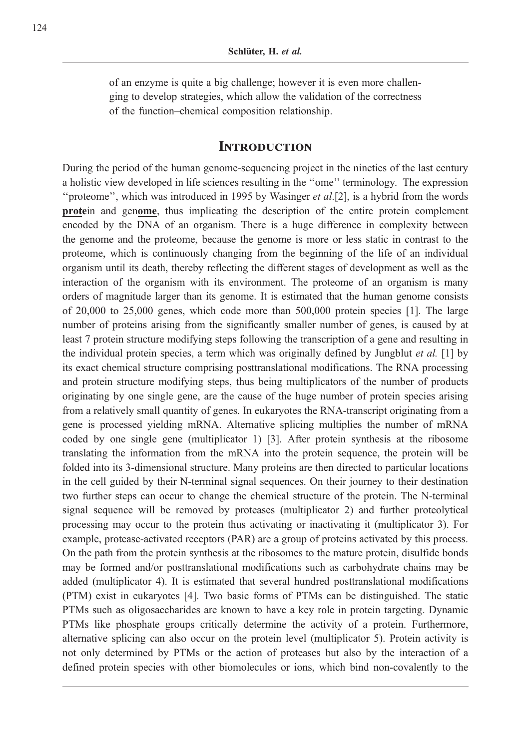of an enzyme is quite a big challenge; however it is even more challenging to develop strategies, which allow the validation of the correctness of the function–chemical composition relationship.

#### **INTRODUCTION**

During the period of the human genome-sequencing project in the nineties of the last century a holistic view developed in life sciences resulting in the ''ome'' terminology. The expression "proteome", which was introduced in 1995 by Wasinger et al. [2], is a hybrid from the words protein and genome, thus implicating the description of the entire protein complement encoded by the DNA of an organism. There is a huge difference in complexity between the genome and the proteome, because the genome is more or less static in contrast to the proteome, which is continuously changing from the beginning of the life of an individual organism until its death, thereby reflecting the different stages of development as well as the interaction of the organism with its environment. The proteome of an organism is many orders of magnitude larger than its genome. It is estimated that the human genome consists of 20,000 to 25,000 genes, which code more than 500,000 protein species [1]. The large number of proteins arising from the significantly smaller number of genes, is caused by at least 7 protein structure modifying steps following the transcription of a gene and resulting in the individual protein species, a term which was originally defined by Jungblut  $et$  al. [1] by its exact chemical structure comprising posttranslational modifications. The RNA processing and protein structure modifying steps, thus being multiplicators of the number of products originating by one single gene, are the cause of the huge number of protein species arising from a relatively small quantity of genes. In eukaryotes the RNA-transcript originating from a gene is processed yielding mRNA. Alternative splicing multiplies the number of mRNA coded by one single gene (multiplicator 1) [3]. After protein synthesis at the ribosome translating the information from the mRNA into the protein sequence, the protein will be folded into its 3-dimensional structure. Many proteins are then directed to particular locations in the cell guided by their N-terminal signal sequences. On their journey to their destination two further steps can occur to change the chemical structure of the protein. The N-terminal signal sequence will be removed by proteases (multiplicator 2) and further proteolytical processing may occur to the protein thus activating or inactivating it (multiplicator 3). For example, protease-activated receptors (PAR) are a group of proteins activated by this process. On the path from the protein synthesis at the ribosomes to the mature protein, disulfide bonds may be formed and/or posttranslational modifications such as carbohydrate chains may be added (multiplicator 4). It is estimated that several hundred posttranslational modifications (PTM) exist in eukaryotes [4]. Two basic forms of PTMs can be distinguished. The static PTMs such as oligosaccharides are known to have a key role in protein targeting. Dynamic PTMs like phosphate groups critically determine the activity of a protein. Furthermore, alternative splicing can also occur on the protein level (multiplicator 5). Protein activity is not only determined by PTMs or the action of proteases but also by the interaction of a defined protein species with other biomolecules or ions, which bind non-covalently to the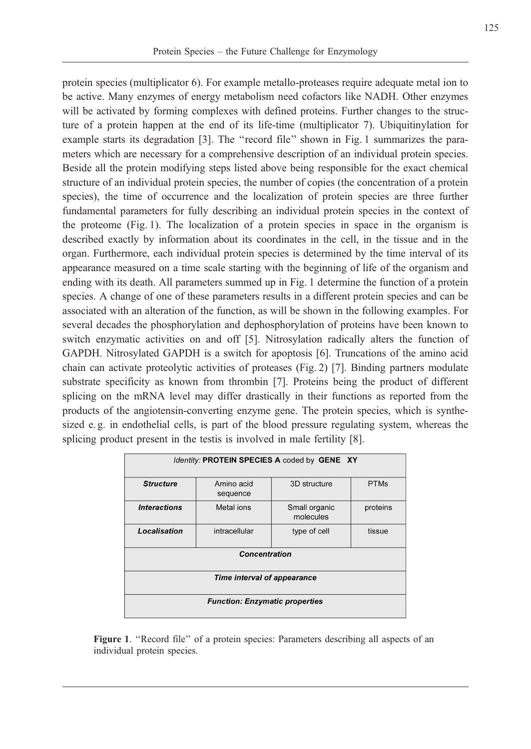protein species (multiplicator 6). For example metallo-proteases require adequate metal ion to be active. Many enzymes of energy metabolism need cofactors like NADH. Other enzymes will be activated by forming complexes with defined proteins. Further changes to the structure of a protein happen at the end of its life-time (multiplicator 7). Ubiquitinylation for example starts its degradation [3]. The ''record file'' shown in Fig. 1 summarizes the parameters which are necessary for a comprehensive description of an individual protein species. Beside all the protein modifying steps listed above being responsible for the exact chemical structure of an individual protein species, the number of copies (the concentration of a protein species), the time of occurrence and the localization of protein species are three further fundamental parameters for fully describing an individual protein species in the context of the proteome (Fig. 1). The localization of a protein species in space in the organism is described exactly by information about its coordinates in the cell, in the tissue and in the organ. Furthermore, each individual protein species is determined by the time interval of its appearance measured on a time scale starting with the beginning of life of the organism and ending with its death. All parameters summed up in Fig. 1 determine the function of a protein species. A change of one of these parameters results in a different protein species and can be associated with an alteration of the function, as will be shown in the following examples. For several decades the phosphorylation and dephosphorylation of proteins have been known to switch enzymatic activities on and off [5]. Nitrosylation radically alters the function of GAPDH. Nitrosylated GAPDH is a switch for apoptosis [6]. Truncations of the amino acid chain can activate proteolytic activities of proteases (Fig. 2) [7]. Binding partners modulate substrate specificity as known from thrombin [7]. Proteins being the product of different splicing on the mRNA level may differ drastically in their functions as reported from the products of the angiotensin-converting enzyme gene. The protein species, which is synthesized e.g. in endothelial cells, is part of the blood pressure regulating system, whereas the splicing product present in the testis is involved in male fertility [8].

| Identity: PROTEIN SPECIES A coded by GENE XY |                        |                            |             |
|----------------------------------------------|------------------------|----------------------------|-------------|
| <b>Structure</b>                             | Amino acid<br>sequence | 3D structure               | <b>PTMs</b> |
| <b>Interactions</b>                          | Metal ions             | Small organic<br>molecules | proteins    |
| Localisation                                 | intracellular          | type of cell               | tissue      |
| <b>Concentration</b>                         |                        |                            |             |
| Time interval of appearance                  |                        |                            |             |
| <b>Function: Enzymatic properties</b>        |                        |                            |             |

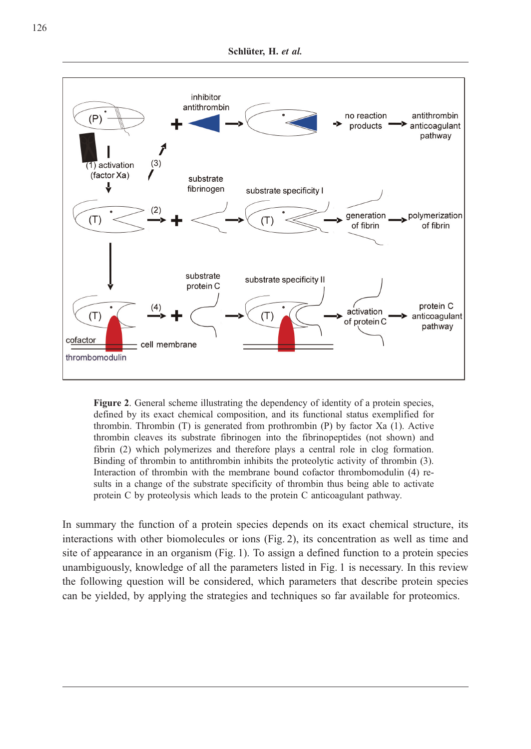

Figure 2. General scheme illustrating the dependency of identity of a protein species, defined by its exact chemical composition, and its functional status exemplified for thrombin. Thrombin (T) is generated from prothrombin (P) by factor Xa (1). Active thrombin cleaves its substrate fibrinogen into the fibrinopeptides (not shown) and fibrin (2) which polymerizes and therefore plays a central role in clog formation. Binding of thrombin to antithrombin inhibits the proteolytic activity of thrombin (3). Interaction of thrombin with the membrane bound cofactor thrombomodulin (4) results in a change of the substrate specificity of thrombin thus being able to activate protein C by proteolysis which leads to the protein C anticoagulant pathway.

In summary the function of a protein species depends on its exact chemical structure, its interactions with other biomolecules or ions (Fig. 2), its concentration as well as time and site of appearance in an organism (Fig. 1). To assign a defined function to a protein species unambiguously, knowledge of all the parameters listed in Fig. 1 is necessary. In this review the following question will be considered, which parameters that describe protein species can be yielded, by applying the strategies and techniques so far available for proteomics.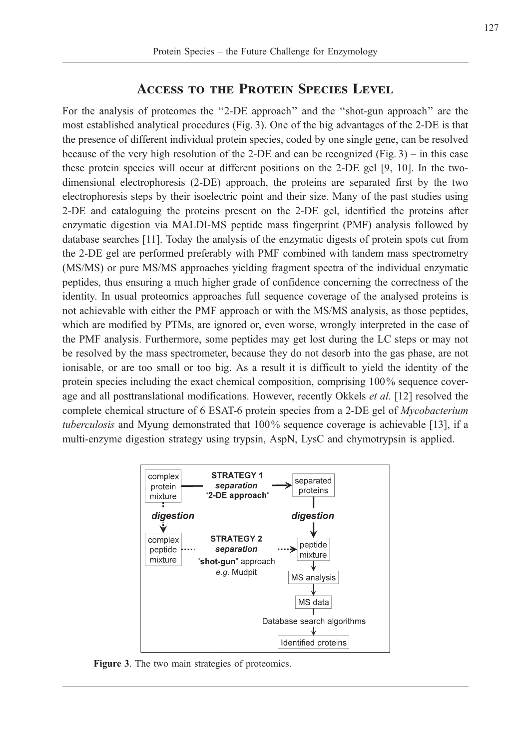#### Access to the Protein Species Level

For the analysis of proteomes the ''2-DE approach'' and the ''shot-gun approach'' are the most established analytical procedures (Fig. 3). One of the big advantages of the 2-DE is that the presence of different individual protein species, coded by one single gene, can be resolved because of the very high resolution of the 2-DE and can be recognized (Fig. 3) – in this case these protein species will occur at different positions on the 2-DE gel [9, 10]. In the twodimensional electrophoresis (2-DE) approach, the proteins are separated first by the two electrophoresis steps by their isoelectric point and their size. Many of the past studies using 2-DE and cataloguing the proteins present on the 2-DE gel, identified the proteins after enzymatic digestion via MALDI-MS peptide mass fingerprint (PMF) analysis followed by database searches [11]. Today the analysis of the enzymatic digests of protein spots cut from the 2-DE gel are performed preferably with PMF combined with tandem mass spectrometry (MS/MS) or pure MS/MS approaches yielding fragment spectra of the individual enzymatic peptides, thus ensuring a much higher grade of confidence concerning the correctness of the identity. In usual proteomics approaches full sequence coverage of the analysed proteins is not achievable with either the PMF approach or with the MS/MS analysis, as those peptides, which are modified by PTMs, are ignored or, even worse, wrongly interpreted in the case of the PMF analysis. Furthermore, some peptides may get lost during the LC steps or may not be resolved by the mass spectrometer, because they do not desorb into the gas phase, are not ionisable, or are too small or too big. As a result it is difficult to yield the identity of the protein species including the exact chemical composition, comprising 100% sequence coverage and all posttranslational modifications. However, recently Okkels et al. [12] resolved the complete chemical structure of 6 ESAT-6 protein species from a 2-DE gel of Mycobacterium tuberculosis and Myung demonstrated that 100% sequence coverage is achievable [13], if a multi-enzyme digestion strategy using trypsin, AspN, LysC and chymotrypsin is applied.



Figure 3. The two main strategies of proteomics.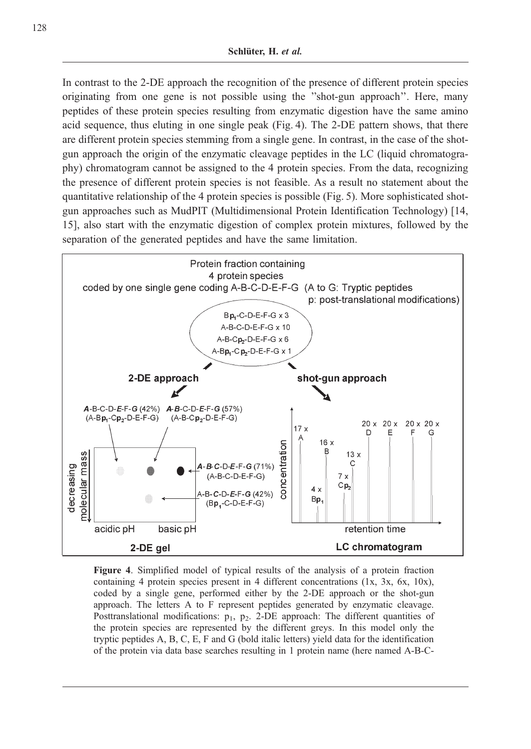In contrast to the 2-DE approach the recognition of the presence of different protein species originating from one gene is not possible using the ''shot-gun approach''. Here, many peptides of these protein species resulting from enzymatic digestion have the same amino acid sequence, thus eluting in one single peak (Fig. 4). The 2-DE pattern shows, that there are different protein species stemming from a single gene. In contrast, in the case of the shotgun approach the origin of the enzymatic cleavage peptides in the LC (liquid chromatography) chromatogram cannot be assigned to the 4 protein species. From the data, recognizing the presence of different protein species is not feasible. As a result no statement about the quantitative relationship of the 4 protein species is possible (Fig. 5). More sophisticated shotgun approaches such as MudPIT (Multidimensional Protein Identification Technology) [14, 15], also start with the enzymatic digestion of complex protein mixtures, followed by the separation of the generated peptides and have the same limitation.



Figure 4. Simplified model of typical results of the analysis of a protein fraction containing 4 protein species present in 4 different concentrations (1x, 3x, 6x, 10x), coded by a single gene, performed either by the 2-DE approach or the shot-gun approach. The letters A to F represent peptides generated by enzymatic cleavage. Posttranslational modifications:  $p_1$ ,  $p_2$ . 2-DE approach: The different quantities of the protein species are represented by the different greys. In this model only the tryptic peptides A, B, C, E, F and G (bold italic letters) yield data for the identification of the protein via data base searches resulting in 1 protein name (here named A-B-C-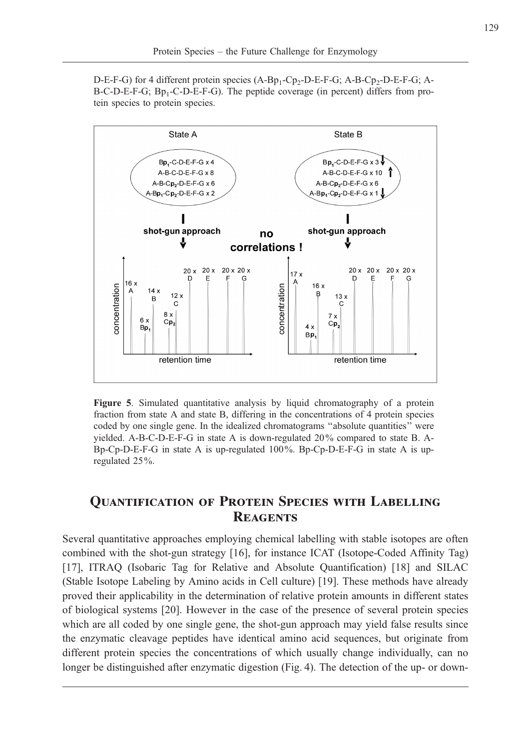$D-E-F-G$ ) for 4 different protein species  $(A-Bp_1-Cp_2-D-E-F-G; A-B-Cp_2-D-E-F-G; A-BQ)$  $B-C-D-E-F-G$ ;  $Bp_1-C-D-E-F-G$ ). The peptide coverage (in percent) differs from protein species to protein species.



Figure 5. Simulated quantitative analysis by liquid chromatography of a protein fraction from state A and state B, differing in the concentrations of 4 protein species coded by one single gene. In the idealized chromatograms ''absolute quantities'' were yielded. A-B-C-D-E-F-G in state A is down-regulated 20% compared to state B. A-Bp-Cp-D-E-F-G in state A is up-regulated 100%. Bp-Cp-D-E-F-G in state A is upregulated 25%.

### Quantification of Protein Species with Labelling **REAGENTS**

Several quantitative approaches employing chemical labelling with stable isotopes are often combined with the shot-gun strategy [16], for instance ICAT (Isotope-Coded Affinity Tag) [17], ITRAQ (Isobaric Tag for Relative and Absolute Quantification) [18] and SILAC (Stable Isotope Labeling by Amino acids in Cell culture) [19]. These methods have already proved their applicability in the determination of relative protein amounts in different states of biological systems [20]. However in the case of the presence of several protein species which are all coded by one single gene, the shot-gun approach may yield false results since the enzymatic cleavage peptides have identical amino acid sequences, but originate from different protein species the concentrations of which usually change individually, can no longer be distinguished after enzymatic digestion (Fig. 4). The detection of the up- or down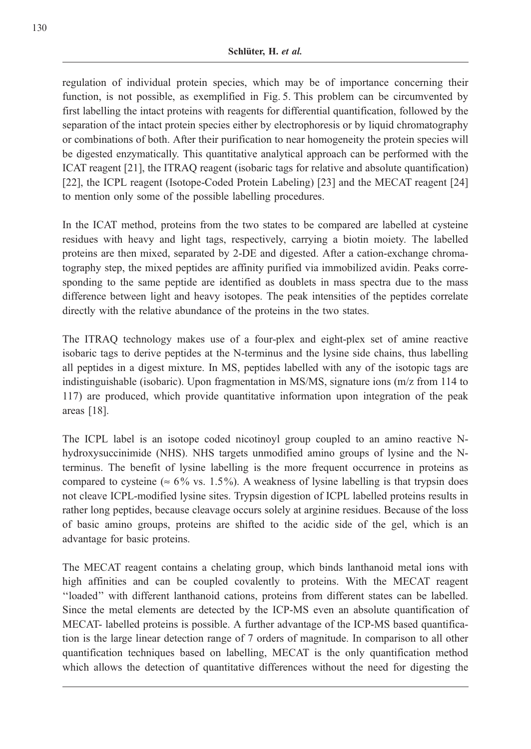regulation of individual protein species, which may be of importance concerning their function, is not possible, as exemplified in Fig. 5. This problem can be circumvented by first labelling the intact proteins with reagents for differential quantification, followed by the separation of the intact protein species either by electrophoresis or by liquid chromatography or combinations of both. After their purification to near homogeneity the protein species will be digested enzymatically. This quantitative analytical approach can be performed with the ICAT reagent [21], the ITRAQ reagent (isobaric tags for relative and absolute quantification) [22], the ICPL reagent (Isotope-Coded Protein Labeling) [23] and the MECAT reagent [24] to mention only some of the possible labelling procedures.

In the ICAT method, proteins from the two states to be compared are labelled at cysteine residues with heavy and light tags, respectively, carrying a biotin moiety. The labelled proteins are then mixed, separated by 2-DE and digested. After a cation-exchange chromatography step, the mixed peptides are affinity purified via immobilized avidin. Peaks corresponding to the same peptide are identified as doublets in mass spectra due to the mass difference between light and heavy isotopes. The peak intensities of the peptides correlate directly with the relative abundance of the proteins in the two states.

The ITRAQ technology makes use of a four-plex and eight-plex set of amine reactive isobaric tags to derive peptides at the N-terminus and the lysine side chains, thus labelling all peptides in a digest mixture. In MS, peptides labelled with any of the isotopic tags are indistinguishable (isobaric). Upon fragmentation in MS/MS, signature ions (m/z from 114 to 117) are produced, which provide quantitative information upon integration of the peak areas [18].

The ICPL label is an isotope coded nicotinoyl group coupled to an amino reactive Nhydroxysuccinimide (NHS). NHS targets unmodified amino groups of lysine and the Nterminus. The benefit of lysine labelling is the more frequent occurrence in proteins as compared to cysteine ( $\approx 6\%$  vs. 1.5%). A weakness of lysine labelling is that trypsin does not cleave ICPL-modified lysine sites. Trypsin digestion of ICPL labelled proteins results in rather long peptides, because cleavage occurs solely at arginine residues. Because of the loss of basic amino groups, proteins are shifted to the acidic side of the gel, which is an advantage for basic proteins.

The MECAT reagent contains a chelating group, which binds lanthanoid metal ions with high affinities and can be coupled covalently to proteins. With the MECAT reagent ''loaded'' with different lanthanoid cations, proteins from different states can be labelled. Since the metal elements are detected by the ICP-MS even an absolute quantification of MECAT- labelled proteins is possible. A further advantage of the ICP-MS based quantification is the large linear detection range of 7 orders of magnitude. In comparison to all other quantification techniques based on labelling, MECAT is the only quantification method which allows the detection of quantitative differences without the need for digesting the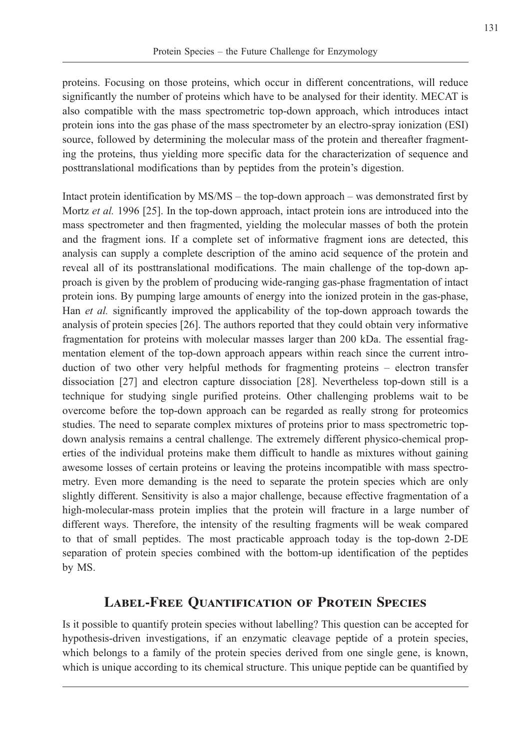proteins. Focusing on those proteins, which occur in different concentrations, will reduce significantly the number of proteins which have to be analysed for their identity. MECAT is also compatible with the mass spectrometric top-down approach, which introduces intact protein ions into the gas phase of the mass spectrometer by an electro-spray ionization (ESI) source, followed by determining the molecular mass of the protein and thereafter fragmenting the proteins, thus yielding more specific data for the characterization of sequence and posttranslational modifications than by peptides from the protein's digestion.

Intact protein identification by MS/MS – the top-down approach – was demonstrated first by Mortz et al. 1996 [25]. In the top-down approach, intact protein ions are introduced into the mass spectrometer and then fragmented, yielding the molecular masses of both the protein and the fragment ions. If a complete set of informative fragment ions are detected, this analysis can supply a complete description of the amino acid sequence of the protein and reveal all of its posttranslational modifications. The main challenge of the top-down approach is given by the problem of producing wide-ranging gas-phase fragmentation of intact protein ions. By pumping large amounts of energy into the ionized protein in the gas-phase, Han et al. significantly improved the applicability of the top-down approach towards the analysis of protein species [26]. The authors reported that they could obtain very informative fragmentation for proteins with molecular masses larger than 200 kDa. The essential fragmentation element of the top-down approach appears within reach since the current introduction of two other very helpful methods for fragmenting proteins – electron transfer dissociation [27] and electron capture dissociation [28]. Nevertheless top-down still is a technique for studying single purified proteins. Other challenging problems wait to be overcome before the top-down approach can be regarded as really strong for proteomics studies. The need to separate complex mixtures of proteins prior to mass spectrometric topdown analysis remains a central challenge. The extremely different physico-chemical properties of the individual proteins make them difficult to handle as mixtures without gaining awesome losses of certain proteins or leaving the proteins incompatible with mass spectrometry. Even more demanding is the need to separate the protein species which are only slightly different. Sensitivity is also a major challenge, because effective fragmentation of a high-molecular-mass protein implies that the protein will fracture in a large number of different ways. Therefore, the intensity of the resulting fragments will be weak compared to that of small peptides. The most practicable approach today is the top-down 2-DE separation of protein species combined with the bottom-up identification of the peptides by MS.

## Label-Free Quantification of Protein Species

Is it possible to quantify protein species without labelling? This question can be accepted for hypothesis-driven investigations, if an enzymatic cleavage peptide of a protein species, which belongs to a family of the protein species derived from one single gene, is known, which is unique according to its chemical structure. This unique peptide can be quantified by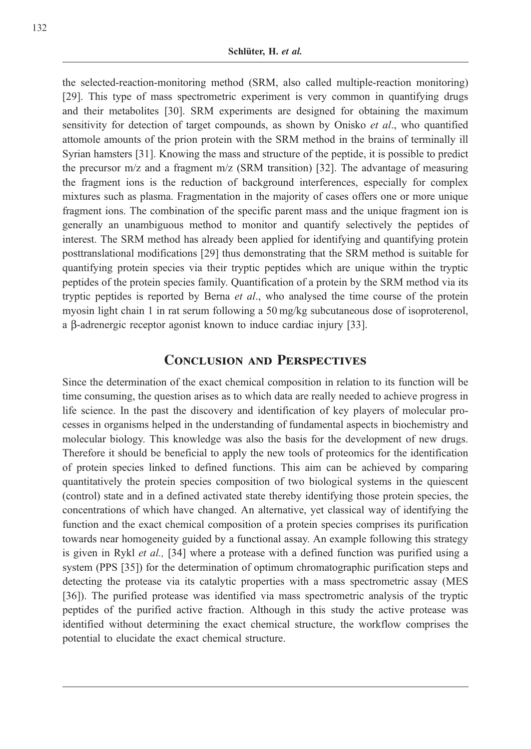the selected-reaction-monitoring method (SRM, also called multiple-reaction monitoring) [29]. This type of mass spectrometric experiment is very common in quantifying drugs and their metabolites [30]. SRM experiments are designed for obtaining the maximum sensitivity for detection of target compounds, as shown by Onisko et al., who quantified attomole amounts of the prion protein with the SRM method in the brains of terminally ill Syrian hamsters [31]. Knowing the mass and structure of the peptide, it is possible to predict the precursor  $m/z$  and a fragment  $m/z$  (SRM transition) [32]. The advantage of measuring the fragment ions is the reduction of background interferences, especially for complex mixtures such as plasma. Fragmentation in the majority of cases offers one or more unique fragment ions. The combination of the specific parent mass and the unique fragment ion is generally an unambiguous method to monitor and quantify selectively the peptides of interest. The SRM method has already been applied for identifying and quantifying protein posttranslational modifications [29] thus demonstrating that the SRM method is suitable for quantifying protein species via their tryptic peptides which are unique within the tryptic peptides of the protein species family. Quantification of a protein by the SRM method via its tryptic peptides is reported by Berna et al., who analysed the time course of the protein myosin light chain 1 in rat serum following a 50 mg/kg subcutaneous dose of isoproterenol, a b-adrenergic receptor agonist known to induce cardiac injury [33].

#### Conclusion and Perspectives

Since the determination of the exact chemical composition in relation to its function will be time consuming, the question arises as to which data are really needed to achieve progress in life science. In the past the discovery and identification of key players of molecular processes in organisms helped in the understanding of fundamental aspects in biochemistry and molecular biology. This knowledge was also the basis for the development of new drugs. Therefore it should be beneficial to apply the new tools of proteomics for the identification of protein species linked to defined functions. This aim can be achieved by comparing quantitatively the protein species composition of two biological systems in the quiescent (control) state and in a defined activated state thereby identifying those protein species, the concentrations of which have changed. An alternative, yet classical way of identifying the function and the exact chemical composition of a protein species comprises its purification towards near homogeneity guided by a functional assay. An example following this strategy is given in Rykl *et al.*, [34] where a protease with a defined function was purified using a system (PPS [35]) for the determination of optimum chromatographic purification steps and detecting the protease via its catalytic properties with a mass spectrometric assay (MES [36]). The purified protease was identified via mass spectrometric analysis of the tryptic peptides of the purified active fraction. Although in this study the active protease was identified without determining the exact chemical structure, the workflow comprises the potential to elucidate the exact chemical structure.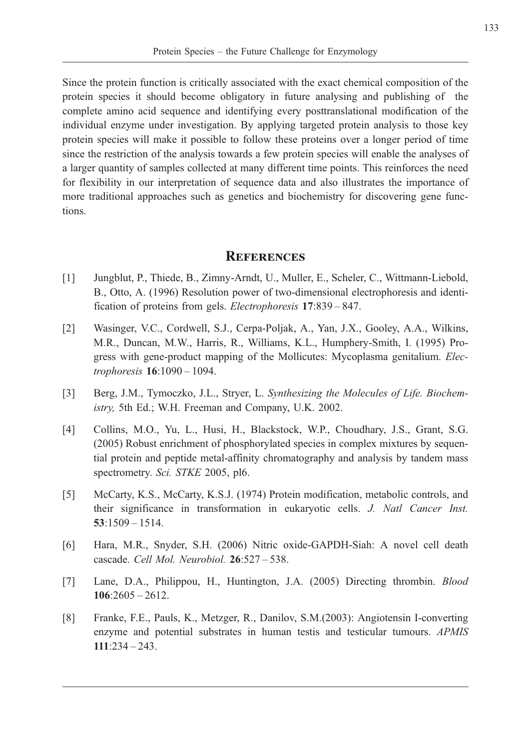Since the protein function is critically associated with the exact chemical composition of the protein species it should become obligatory in future analysing and publishing of the complete amino acid sequence and identifying every posttranslational modification of the individual enzyme under investigation. By applying targeted protein analysis to those key protein species will make it possible to follow these proteins over a longer period of time since the restriction of the analysis towards a few protein species will enable the analyses of a larger quantity of samples collected at many different time points. This reinforces the need for flexibility in our interpretation of sequence data and also illustrates the importance of more traditional approaches such as genetics and biochemistry for discovering gene functions.

#### **REFERENCES**

- [1] Jungblut, P., Thiede, B., Zimny-Arndt, U., Muller, E., Scheler, C., Wittmann-Liebold, B., Otto, A. (1996) Resolution power of two-dimensional electrophoresis and identification of proteins from gels. Electrophoresis 17:839 – 847.
- [2] Wasinger, V.C., Cordwell, S.J., Cerpa-Poljak, A., Yan, J.X., Gooley, A.A., Wilkins, M.R., Duncan, M.W., Harris, R., Williams, K.L., Humphery-Smith, I. (1995) Progress with gene-product mapping of the Mollicutes: Mycoplasma genitalium. *Elec*trophoresis 16:1090 – 1094.
- [3] Berg, J.M., Tymoczko, J.L., Stryer, L. Synthesizing the Molecules of Life. Biochemistry, 5th Ed.; W.H. Freeman and Company, U.K. 2002.
- [4] Collins, M.O., Yu, L., Husi, H., Blackstock, W.P., Choudhary, J.S., Grant, S.G. (2005) Robust enrichment of phosphorylated species in complex mixtures by sequential protein and peptide metal-affinity chromatography and analysis by tandem mass spectrometry. Sci. STKE 2005, pl6.
- [5] McCarty, K.S., McCarty, K.S.J. (1974) Protein modification, metabolic controls, and their significance in transformation in eukaryotic cells. J. Natl Cancer Inst. 53:1509 – 1514.
- [6] Hara, M.R., Snyder, S.H. (2006) Nitric oxide-GAPDH-Siah: A novel cell death cascade. Cell Mol. Neurobiol. 26:527 – 538.
- [7] Lane, D.A., Philippou, H., Huntington, J.A. (2005) Directing thrombin. Blood  $106:2605 - 2612.$
- [8] Franke, F.E., Pauls, K., Metzger, R., Danilov, S.M.(2003): Angiotensin I-converting enzyme and potential substrates in human testis and testicular tumours. APMIS 111:234 – 243.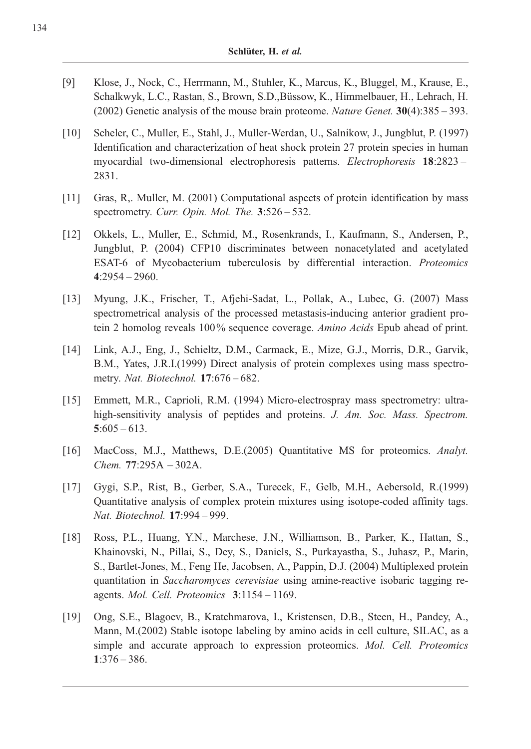- [9] Klose, J., Nock, C., Herrmann, M., Stuhler, K., Marcus, K., Bluggel, M., Krause, E., Schalkwyk, L.C., Rastan, S., Brown, S.D.,Büssow, K., Himmelbauer, H., Lehrach, H. (2002) Genetic analysis of the mouse brain proteome. Nature Genet.  $30(4)$ :  $385 - 393$ .
- [10] Scheler, C., Muller, E., Stahl, J., Muller-Werdan, U., Salnikow, J., Jungblut, P. (1997) Identification and characterization of heat shock protein 27 protein species in human myocardial two-dimensional electrophoresis patterns. Electrophoresis 18:2823 – 2831.
- [11] Gras, R,. Muller, M. (2001) Computational aspects of protein identification by mass spectrometry. Curr. Opin. Mol. The.  $3:526 - 532$ .
- [12] Okkels, L., Muller, E., Schmid, M., Rosenkrands, I., Kaufmann, S., Andersen, P., Jungblut, P. (2004) CFP10 discriminates between nonacetylated and acetylated ESAT-6 of Mycobacterium tuberculosis by differential interaction. Proteomics 4:2954 – 2960.
- [13] Myung, J.K., Frischer, T., Afjehi-Sadat, L., Pollak, A., Lubec, G. (2007) Mass spectrometrical analysis of the processed metastasis-inducing anterior gradient protein 2 homolog reveals 100% sequence coverage. Amino Acids Epub ahead of print.
- [14] Link, A.J., Eng, J., Schieltz, D.M., Carmack, E., Mize, G.J., Morris, D.R., Garvik, B.M., Yates, J.R.I.(1999) Direct analysis of protein complexes using mass spectrometry. Nat. Biotechnol. 17:676 – 682.
- [15] Emmett, M.R., Caprioli, R.M. (1994) Micro-electrospray mass spectrometry: ultrahigh-sensitivity analysis of peptides and proteins. J. Am. Soc. Mass. Spectrom.  $5:605 - 613.$
- [16] MacCoss, M.J., Matthews, D.E.(2005) Quantitative MS for proteomics. Analyt. Chem. 77:295A – 302A.
- [17] Gygi, S.P., Rist, B., Gerber, S.A., Turecek, F., Gelb, M.H., Aebersold, R.(1999) Quantitative analysis of complex protein mixtures using isotope-coded affinity tags. Nat. Biotechnol. 17:994 – 999.
- [18] Ross, P.L., Huang, Y.N., Marchese, J.N., Williamson, B., Parker, K., Hattan, S., Khainovski, N., Pillai, S., Dey, S., Daniels, S., Purkayastha, S., Juhasz, P., Marin, S., Bartlet-Jones, M., Feng He, Jacobsen, A., Pappin, D.J. (2004) Multiplexed protein quantitation in Saccharomyces cerevisiae using amine-reactive isobaric tagging reagents. Mol. Cell. Proteomics 3:1154 – 1169.
- [19] Ong, S.E., Blagoev, B., Kratchmarova, I., Kristensen, D.B., Steen, H., Pandey, A., Mann, M.(2002) Stable isotope labeling by amino acids in cell culture, SILAC, as a simple and accurate approach to expression proteomics. Mol. Cell. Proteomics 1:376 – 386.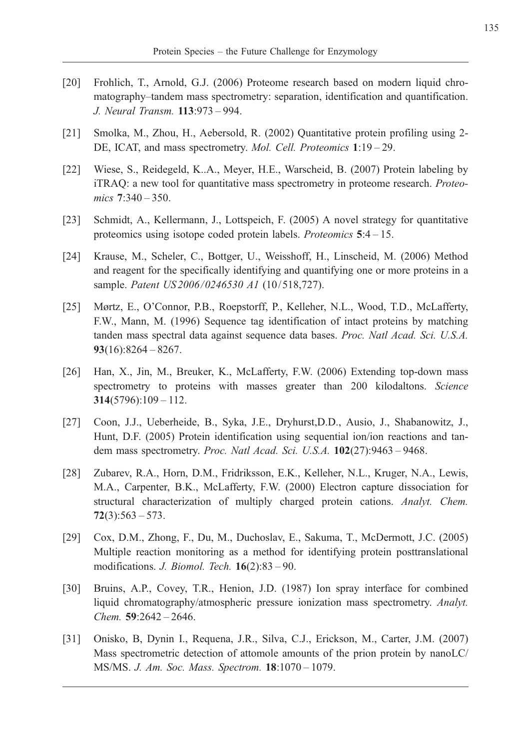- [20] Frohlich, T., Arnold, G.J. (2006) Proteome research based on modern liquid chromatography–tandem mass spectrometry: separation, identification and quantification. J. Neural Transm. 113:973 – 994.
- [21] Smolka, M., Zhou, H., Aebersold, R. (2002) Quantitative protein profiling using 2- DE, ICAT, and mass spectrometry. Mol. Cell. Proteomics 1:19 – 29.
- [22] Wiese, S., Reidegeld, K..A., Meyer, H.E., Warscheid, B. (2007) Protein labeling by iTRAQ: a new tool for quantitative mass spectrometry in proteome research. Proteomics 7:340 - 350.
- [23] Schmidt, A., Kellermann, J., Lottspeich, F. (2005) A novel strategy for quantitative proteomics using isotope coded protein labels. Proteomics 5:4 – 15.
- [24] Krause, M., Scheler, C., Bottger, U., Weisshoff, H., Linscheid, M. (2006) Method and reagent for the specifically identifying and quantifying one or more proteins in a sample. Patent US 2006/0246530 A1 (10/518,727).
- [25] Mørtz, E., O'Connor, P.B., Roepstorff, P., Kelleher, N.L., Wood, T.D., McLafferty, F.W., Mann, M. (1996) Sequence tag identification of intact proteins by matching tanden mass spectral data against sequence data bases. Proc. Natl Acad. Sci. U.S.A.  $93(16):8264 - 8267.$
- [26] Han, X., Jin, M., Breuker, K., McLafferty, F.W. (2006) Extending top-down mass spectrometry to proteins with masses greater than 200 kilodaltons. Science 314(5796):109 – 112.
- [27] Coon, J.J., Ueberheide, B., Syka, J.E., Dryhurst,D.D., Ausio, J., Shabanowitz, J., Hunt, D.F. (2005) Protein identification using sequential ion/ion reactions and tandem mass spectrometry. Proc. Natl Acad. Sci. U.S.A. 102(27):9463 - 9468.
- [28] Zubarev, R.A., Horn, D.M., Fridriksson, E.K., Kelleher, N.L., Kruger, N.A., Lewis, M.A., Carpenter, B.K., McLafferty, F.W. (2000) Electron capture dissociation for structural characterization of multiply charged protein cations. Analyt. Chem.  $72(3):563 - 573.$
- [29] Cox, D.M., Zhong, F., Du, M., Duchoslav, E., Sakuma, T., McDermott, J.C. (2005) Multiple reaction monitoring as a method for identifying protein posttranslational modifications. J. Biomol. Tech. 16(2):83 – 90.
- [30] Bruins, A.P., Covey, T.R., Henion, J.D. (1987) Ion spray interface for combined liquid chromatography/atmospheric pressure ionization mass spectrometry. Analyt. Chem. 59:2642 – 2646.
- [31] Onisko, B, Dynin I., Requena, J.R., Silva, C.J., Erickson, M., Carter, J.M. (2007) Mass spectrometric detection of attomole amounts of the prion protein by nanoLC/ MS/MS. J. Am. Soc. Mass. Spectrom. 18:1070 – 1079.